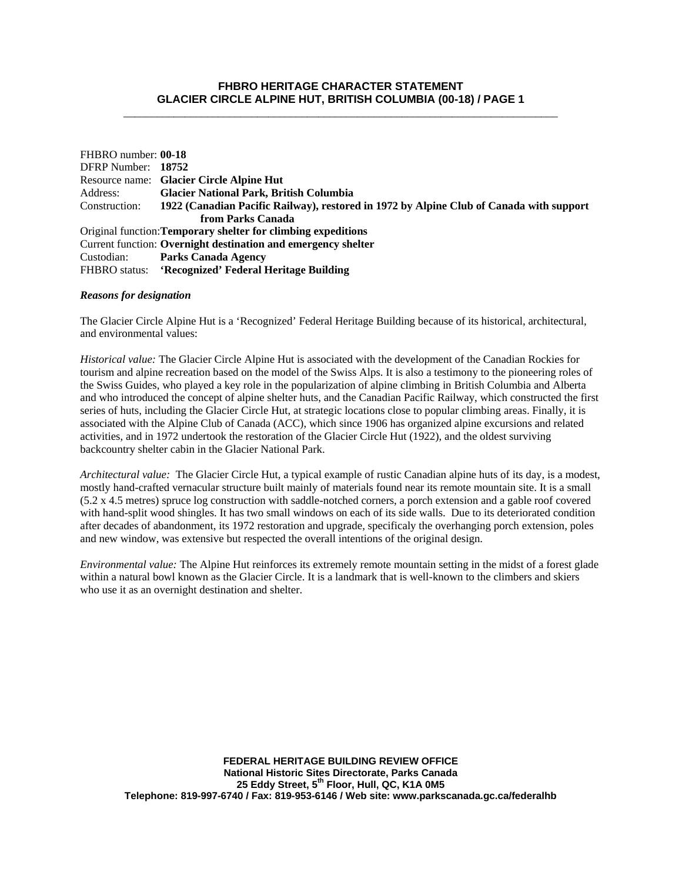# **FHBRO HERITAGE CHARACTER STATEMENT GLACIER CIRCLE ALPINE HUT, BRITISH COLUMBIA (00-18) / PAGE 1** \_\_\_\_\_\_\_\_\_\_\_\_\_\_\_\_\_\_\_\_\_\_\_\_\_\_\_\_\_\_\_\_\_\_\_\_\_\_\_\_\_\_\_\_\_\_\_\_\_\_\_\_\_\_\_\_\_\_\_\_\_\_\_\_\_\_\_\_\_\_\_\_\_\_\_\_\_\_

| FHBRO number: 00-18                                           |                                                                                         |
|---------------------------------------------------------------|-----------------------------------------------------------------------------------------|
| DFRP Number: 18752                                            |                                                                                         |
|                                                               | Resource name: Glacier Circle Alpine Hut                                                |
| Address:                                                      | <b>Glacier National Park, British Columbia</b>                                          |
| Construction:                                                 | 1922 (Canadian Pacific Railway), restored in 1972 by Alpine Club of Canada with support |
| from Parks Canada                                             |                                                                                         |
| Original function: Temporary shelter for climbing expeditions |                                                                                         |
|                                                               | Current function: Overnight destination and emergency shelter                           |
| Custodian:                                                    | <b>Parks Canada Agency</b>                                                              |
|                                                               | FHBRO status: 'Recognized' Federal Heritage Building                                    |

### *Reasons for designation*

The Glacier Circle Alpine Hut is a 'Recognized' Federal Heritage Building because of its historical, architectural, and environmental values:

*Historical value:* The Glacier Circle Alpine Hut is associated with the development of the Canadian Rockies for tourism and alpine recreation based on the model of the Swiss Alps. It is also a testimony to the pioneering roles of the Swiss Guides, who played a key role in the popularization of alpine climbing in British Columbia and Alberta and who introduced the concept of alpine shelter huts, and the Canadian Pacific Railway, which constructed the first series of huts, including the Glacier Circle Hut, at strategic locations close to popular climbing areas. Finally, it is associated with the Alpine Club of Canada (ACC), which since 1906 has organized alpine excursions and related activities, and in 1972 undertook the restoration of the Glacier Circle Hut (1922), and the oldest surviving backcountry shelter cabin in the Glacier National Park.

*Architectural value:* The Glacier Circle Hut, a typical example of rustic Canadian alpine huts of its day, is a modest, mostly hand-crafted vernacular structure built mainly of materials found near its remote mountain site. It is a small (5.2 x 4.5 metres) spruce log construction with saddle-notched corners, a porch extension and a gable roof covered with hand-split wood shingles. It has two small windows on each of its side walls. Due to its deteriorated condition after decades of abandonment, its 1972 restoration and upgrade, specificaly the overhanging porch extension, poles and new window, was extensive but respected the overall intentions of the original design.

*Environmental value:* The Alpine Hut reinforces its extremely remote mountain setting in the midst of a forest glade within a natural bowl known as the Glacier Circle. It is a landmark that is well-known to the climbers and skiers who use it as an overnight destination and shelter.

**FEDERAL HERITAGE BUILDING REVIEW OFFICE National Historic Sites Directorate, Parks Canada 25 Eddy Street, 5th Floor, Hull, QC, K1A 0M5 Telephone: 819-997-6740 / Fax: 819-953-6146 / Web site: www.parkscanada.gc.ca/federalhb**